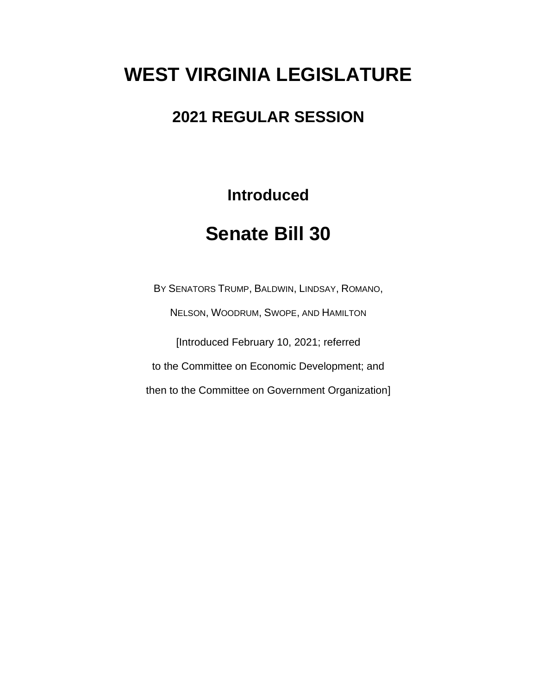# **WEST VIRGINIA LEGISLATURE**

# **2021 REGULAR SESSION**

**Introduced**

# **Senate Bill 30**

BY SENATORS TRUMP, BALDWIN, LINDSAY, ROMANO, NELSON, WOODRUM, SWOPE, AND HAMILTON [Introduced February 10, 2021; referred to the Committee on Economic Development; and then to the Committee on Government Organization]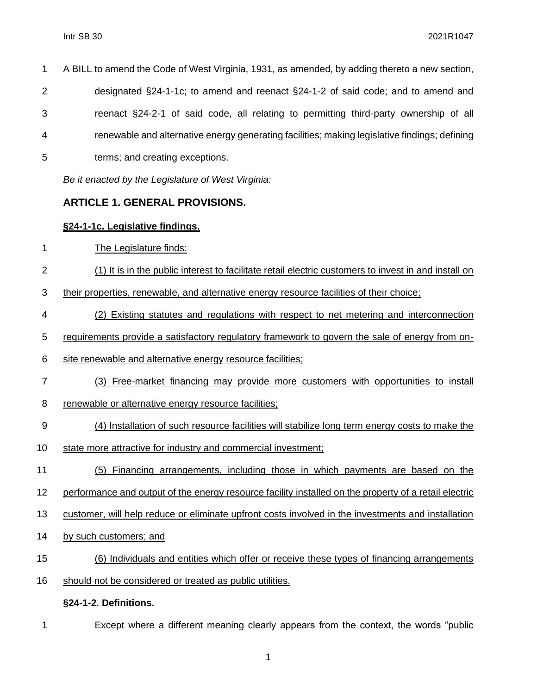| 1 | A BILL to amend the Code of West Virginia, 1931, as amended, by adding thereto a new section, |
|---|-----------------------------------------------------------------------------------------------|
| 2 | designated §24-1-1c; to amend and reenact §24-1-2 of said code; and to amend and              |
| 3 | reenact §24-2-1 of said code, all relating to permitting third-party ownership of all         |
| 4 | renewable and alternative energy generating facilities; making legislative findings; defining |
| 5 | terms; and creating exceptions.                                                               |

*Be it enacted by the Legislature of West Virginia:*

## **ARTICLE 1. GENERAL PROVISIONS.**

### **§24-1-1c. Legislative findings.**

- The Legislature finds:
- (1) It is in the public interest to facilitate retail electric customers to invest in and install on
- their properties, renewable, and alternative energy resource facilities of their choice;
- (2) Existing statutes and regulations with respect to net metering and interconnection
- requirements provide a satisfactory regulatory framework to govern the sale of energy from on-
- site renewable and alternative energy resource facilities;
- (3) Free-market financing may provide more customers with opportunities to install
- renewable or alternative energy resource facilities;
- (4) Installation of such resource facilities will stabilize long term energy costs to make the
- state more attractive for industry and commercial investment;
- (5) Financing arrangements, including those in which payments are based on the
- 12 performance and output of the energy resource facility installed on the property of a retail electric
- customer, will help reduce or eliminate upfront costs involved in the investments and installation
- by such customers; and
- (6) Individuals and entities which offer or receive these types of financing arrangements
- should not be considered or treated as public utilities.

### **§24-1-2. Definitions.**

Except where a different meaning clearly appears from the context, the words "public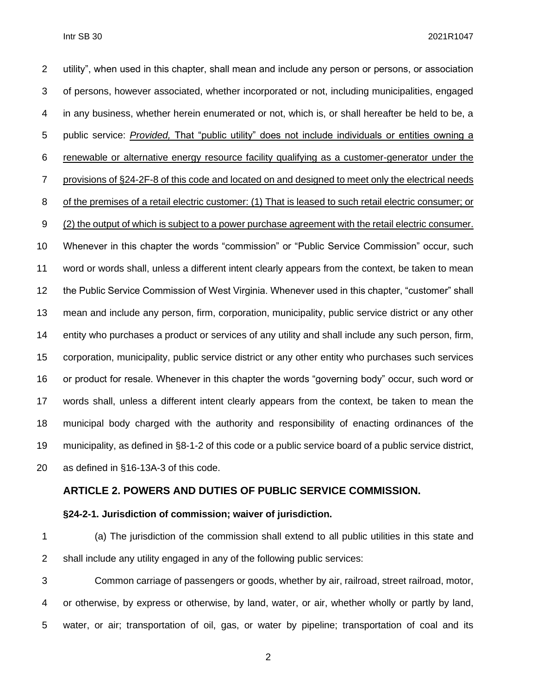utility", when used in this chapter, shall mean and include any person or persons, or association of persons, however associated, whether incorporated or not, including municipalities, engaged in any business, whether herein enumerated or not, which is, or shall hereafter be held to be, a public service: *Provided,* That "public utility" does not include individuals or entities owning a renewable or alternative energy resource facility qualifying as a customer-generator under the provisions of §24-2F-8 of this code and located on and designed to meet only the electrical needs of the premises of a retail electric customer: (1) That is leased to such retail electric consumer; or (2) the output of which is subject to a power purchase agreement with the retail electric consumer. Whenever in this chapter the words "commission" or "Public Service Commission" occur, such word or words shall, unless a different intent clearly appears from the context, be taken to mean the Public Service Commission of West Virginia. Whenever used in this chapter, "customer" shall mean and include any person, firm, corporation, municipality, public service district or any other entity who purchases a product or services of any utility and shall include any such person, firm, corporation, municipality, public service district or any other entity who purchases such services or product for resale. Whenever in this chapter the words "governing body" occur, such word or words shall, unless a different intent clearly appears from the context, be taken to mean the municipal body charged with the authority and responsibility of enacting ordinances of the municipality, as defined in §8-1-2 of this code or a public service board of a public service district, as defined in §16-13A-3 of this code.

#### **ARTICLE 2. POWERS AND DUTIES OF PUBLIC SERVICE COMMISSION.**

#### **§24-2-1. Jurisdiction of commission; waiver of jurisdiction.**

 (a) The jurisdiction of the commission shall extend to all public utilities in this state and shall include any utility engaged in any of the following public services:

 Common carriage of passengers or goods, whether by air, railroad, street railroad, motor, or otherwise, by express or otherwise, by land, water, or air, whether wholly or partly by land, water, or air; transportation of oil, gas, or water by pipeline; transportation of coal and its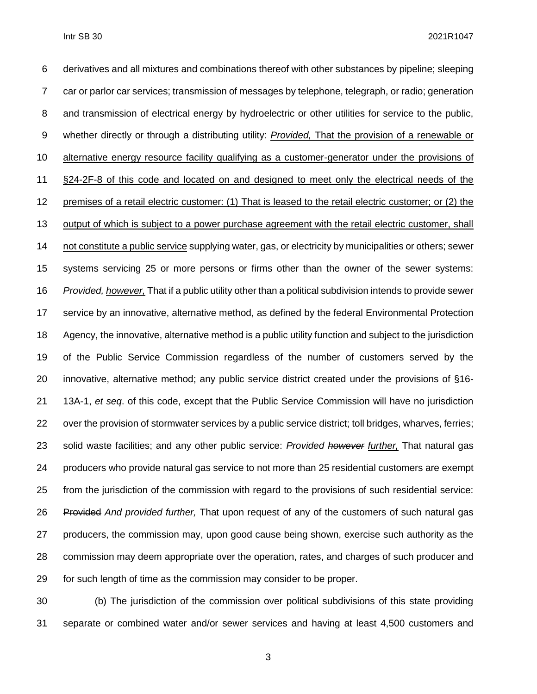derivatives and all mixtures and combinations thereof with other substances by pipeline; sleeping car or parlor car services; transmission of messages by telephone, telegraph, or radio; generation and transmission of electrical energy by hydroelectric or other utilities for service to the public, whether directly or through a distributing utility: *Provided,* That the provision of a renewable or alternative energy resource facility qualifying as a customer-generator under the provisions of §24-2F-8 of this code and located on and designed to meet only the electrical needs of the premises of a retail electric customer: (1) That is leased to the retail electric customer; or (2) the output of which is subject to a power purchase agreement with the retail electric customer, shall not constitute a public service supplying water, gas, or electricity by municipalities or others; sewer systems servicing 25 or more persons or firms other than the owner of the sewer systems: *Provided, however,* That if a public utility other than a political subdivision intends to provide sewer service by an innovative, alternative method, as defined by the federal Environmental Protection Agency, the innovative, alternative method is a public utility function and subject to the jurisdiction of the Public Service Commission regardless of the number of customers served by the innovative, alternative method; any public service district created under the provisions of §16- 13A-1, *et seq*. of this code, except that the Public Service Commission will have no jurisdiction over the provision of stormwater services by a public service district; toll bridges, wharves, ferries; solid waste facilities; and any other public service: *Provided however further,* That natural gas producers who provide natural gas service to not more than 25 residential customers are exempt from the jurisdiction of the commission with regard to the provisions of such residential service: Provided *And provided further,* That upon request of any of the customers of such natural gas producers, the commission may, upon good cause being shown, exercise such authority as the commission may deem appropriate over the operation, rates, and charges of such producer and for such length of time as the commission may consider to be proper.

 (b) The jurisdiction of the commission over political subdivisions of this state providing separate or combined water and/or sewer services and having at least 4,500 customers and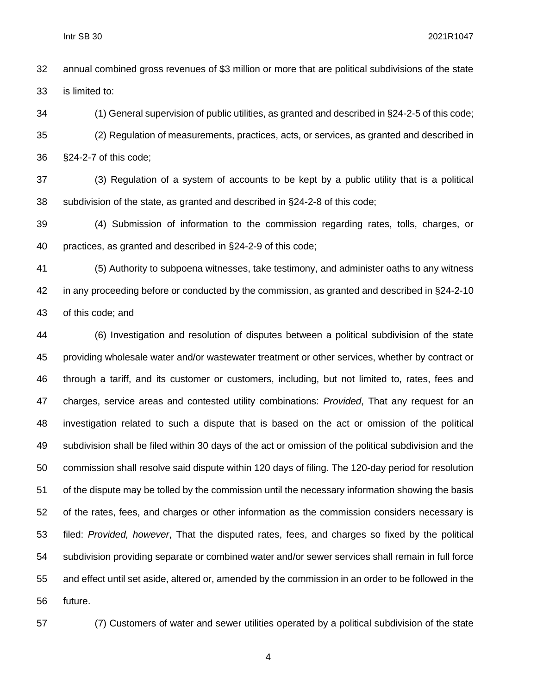annual combined gross revenues of \$3 million or more that are political subdivisions of the state is limited to:

 (1) General supervision of public utilities, as granted and described in §24-2-5 of this code; (2) Regulation of measurements, practices, acts, or services, as granted and described in §24-2-7 of this code;

 (3) Regulation of a system of accounts to be kept by a public utility that is a political subdivision of the state, as granted and described in §24-2-8 of this code;

 (4) Submission of information to the commission regarding rates, tolls, charges, or practices, as granted and described in §24-2-9 of this code;

 (5) Authority to subpoena witnesses, take testimony, and administer oaths to any witness in any proceeding before or conducted by the commission, as granted and described in §24-2-10 of this code; and

 (6) Investigation and resolution of disputes between a political subdivision of the state providing wholesale water and/or wastewater treatment or other services, whether by contract or through a tariff, and its customer or customers, including, but not limited to, rates, fees and charges, service areas and contested utility combinations: *Provided*, That any request for an investigation related to such a dispute that is based on the act or omission of the political subdivision shall be filed within 30 days of the act or omission of the political subdivision and the commission shall resolve said dispute within 120 days of filing. The 120-day period for resolution of the dispute may be tolled by the commission until the necessary information showing the basis of the rates, fees, and charges or other information as the commission considers necessary is filed: *Provided, however*, That the disputed rates, fees, and charges so fixed by the political subdivision providing separate or combined water and/or sewer services shall remain in full force and effect until set aside, altered or, amended by the commission in an order to be followed in the future.

(7) Customers of water and sewer utilities operated by a political subdivision of the state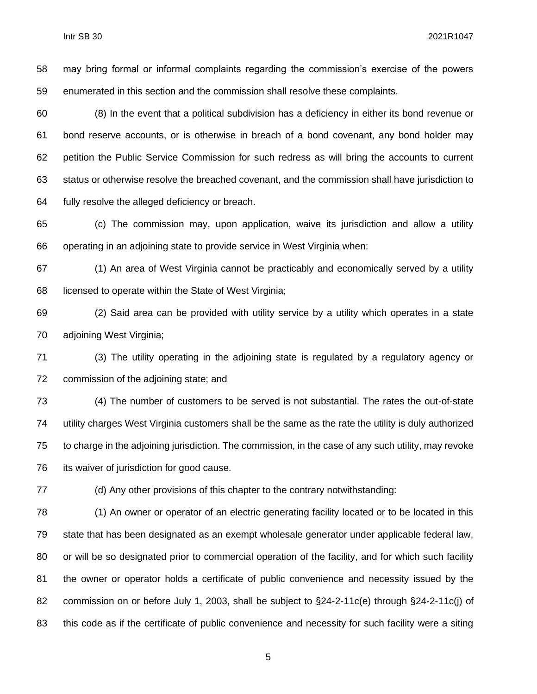may bring formal or informal complaints regarding the commission's exercise of the powers enumerated in this section and the commission shall resolve these complaints.

 (8) In the event that a political subdivision has a deficiency in either its bond revenue or bond reserve accounts, or is otherwise in breach of a bond covenant, any bond holder may petition the Public Service Commission for such redress as will bring the accounts to current status or otherwise resolve the breached covenant, and the commission shall have jurisdiction to fully resolve the alleged deficiency or breach.

 (c) The commission may, upon application, waive its jurisdiction and allow a utility operating in an adjoining state to provide service in West Virginia when:

 (1) An area of West Virginia cannot be practicably and economically served by a utility licensed to operate within the State of West Virginia;

 (2) Said area can be provided with utility service by a utility which operates in a state adjoining West Virginia;

 (3) The utility operating in the adjoining state is regulated by a regulatory agency or commission of the adjoining state; and

 (4) The number of customers to be served is not substantial. The rates the out-of-state utility charges West Virginia customers shall be the same as the rate the utility is duly authorized to charge in the adjoining jurisdiction. The commission, in the case of any such utility, may revoke its waiver of jurisdiction for good cause.

(d) Any other provisions of this chapter to the contrary notwithstanding:

 (1) An owner or operator of an electric generating facility located or to be located in this state that has been designated as an exempt wholesale generator under applicable federal law, or will be so designated prior to commercial operation of the facility, and for which such facility the owner or operator holds a certificate of public convenience and necessity issued by the commission on or before July 1, 2003, shall be subject to §24-2-11c(e) through §24-2-11c(j) of this code as if the certificate of public convenience and necessity for such facility were a siting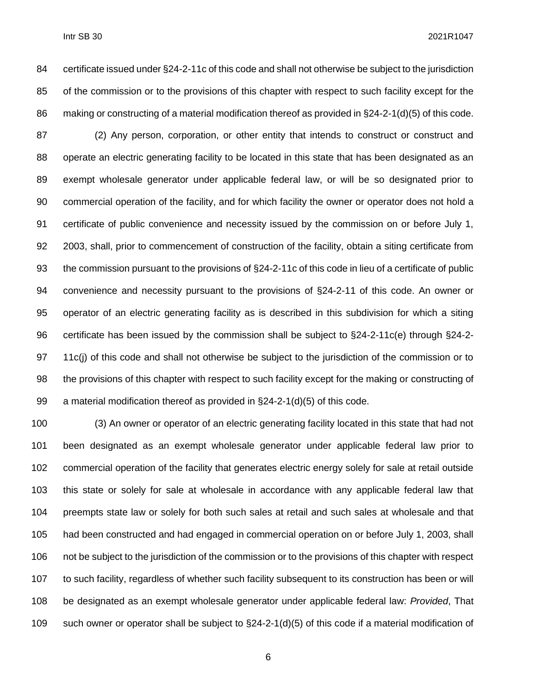certificate issued under §24-2-11c of this code and shall not otherwise be subject to the jurisdiction 85 of the commission or to the provisions of this chapter with respect to such facility except for the making or constructing of a material modification thereof as provided in §24-2-1(d)(5) of this code. (2) Any person, corporation, or other entity that intends to construct or construct and operate an electric generating facility to be located in this state that has been designated as an exempt wholesale generator under applicable federal law, or will be so designated prior to commercial operation of the facility, and for which facility the owner or operator does not hold a certificate of public convenience and necessity issued by the commission on or before July 1, 2003, shall, prior to commencement of construction of the facility, obtain a siting certificate from the commission pursuant to the provisions of §24-2-11c of this code in lieu of a certificate of public convenience and necessity pursuant to the provisions of §24-2-11 of this code. An owner or operator of an electric generating facility as is described in this subdivision for which a siting certificate has been issued by the commission shall be subject to §24-2-11c(e) through §24-2- 97 11c(j) of this code and shall not otherwise be subject to the jurisdiction of the commission or to the provisions of this chapter with respect to such facility except for the making or constructing of a material modification thereof as provided in §24-2-1(d)(5) of this code.

 (3) An owner or operator of an electric generating facility located in this state that had not been designated as an exempt wholesale generator under applicable federal law prior to commercial operation of the facility that generates electric energy solely for sale at retail outside this state or solely for sale at wholesale in accordance with any applicable federal law that preempts state law or solely for both such sales at retail and such sales at wholesale and that had been constructed and had engaged in commercial operation on or before July 1, 2003, shall not be subject to the jurisdiction of the commission or to the provisions of this chapter with respect to such facility, regardless of whether such facility subsequent to its construction has been or will be designated as an exempt wholesale generator under applicable federal law: *Provided*, That such owner or operator shall be subject to §24-2-1(d)(5) of this code if a material modification of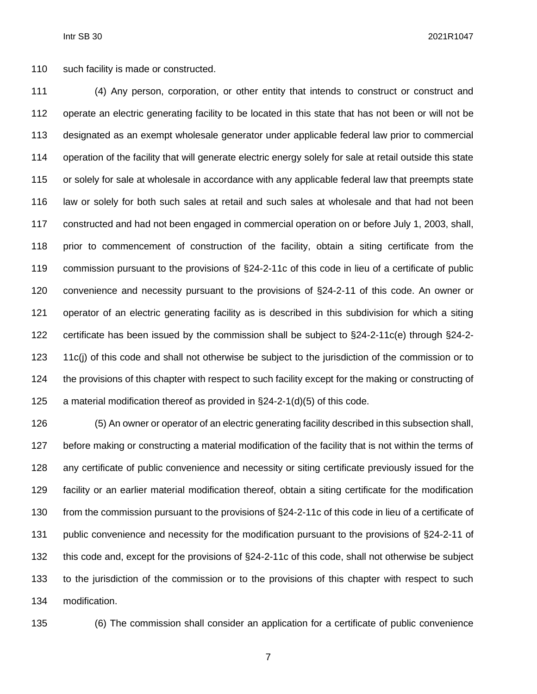such facility is made or constructed.

 (4) Any person, corporation, or other entity that intends to construct or construct and operate an electric generating facility to be located in this state that has not been or will not be designated as an exempt wholesale generator under applicable federal law prior to commercial operation of the facility that will generate electric energy solely for sale at retail outside this state or solely for sale at wholesale in accordance with any applicable federal law that preempts state law or solely for both such sales at retail and such sales at wholesale and that had not been constructed and had not been engaged in commercial operation on or before July 1, 2003, shall, 118 prior to commencement of construction of the facility, obtain a siting certificate from the commission pursuant to the provisions of §24-2-11c of this code in lieu of a certificate of public convenience and necessity pursuant to the provisions of §24-2-11 of this code. An owner or operator of an electric generating facility as is described in this subdivision for which a siting certificate has been issued by the commission shall be subject to §24-2-11c(e) through §24-2- 11c(j) of this code and shall not otherwise be subject to the jurisdiction of the commission or to the provisions of this chapter with respect to such facility except for the making or constructing of a material modification thereof as provided in §24-2-1(d)(5) of this code.

 (5) An owner or operator of an electric generating facility described in this subsection shall, before making or constructing a material modification of the facility that is not within the terms of any certificate of public convenience and necessity or siting certificate previously issued for the facility or an earlier material modification thereof, obtain a siting certificate for the modification from the commission pursuant to the provisions of §24-2-11c of this code in lieu of a certificate of 131 public convenience and necessity for the modification pursuant to the provisions of §24-2-11 of this code and, except for the provisions of §24-2-11c of this code, shall not otherwise be subject to the jurisdiction of the commission or to the provisions of this chapter with respect to such modification.

(6) The commission shall consider an application for a certificate of public convenience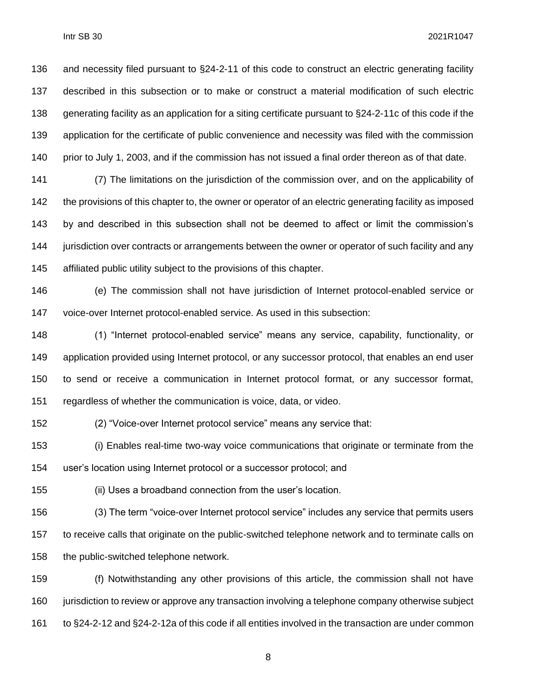and necessity filed pursuant to §24-2-11 of this code to construct an electric generating facility described in this subsection or to make or construct a material modification of such electric generating facility as an application for a siting certificate pursuant to §24-2-11c of this code if the application for the certificate of public convenience and necessity was filed with the commission prior to July 1, 2003, and if the commission has not issued a final order thereon as of that date.

 (7) The limitations on the jurisdiction of the commission over, and on the applicability of 142 the provisions of this chapter to, the owner or operator of an electric generating facility as imposed by and described in this subsection shall not be deemed to affect or limit the commission's jurisdiction over contracts or arrangements between the owner or operator of such facility and any affiliated public utility subject to the provisions of this chapter.

 (e) The commission shall not have jurisdiction of Internet protocol-enabled service or voice-over Internet protocol-enabled service. As used in this subsection:

 (1) "Internet protocol-enabled service" means any service, capability, functionality, or application provided using Internet protocol, or any successor protocol, that enables an end user to send or receive a communication in Internet protocol format, or any successor format, regardless of whether the communication is voice, data, or video.

(2) "Voice-over Internet protocol service" means any service that:

 (i) Enables real-time two-way voice communications that originate or terminate from the user's location using Internet protocol or a successor protocol; and

(ii) Uses a broadband connection from the user's location.

 (3) The term "voice-over Internet protocol service" includes any service that permits users to receive calls that originate on the public-switched telephone network and to terminate calls on 158 the public-switched telephone network.

 (f) Notwithstanding any other provisions of this article, the commission shall not have jurisdiction to review or approve any transaction involving a telephone company otherwise subject to §24-2-12 and §24-2-12a of this code if all entities involved in the transaction are under common